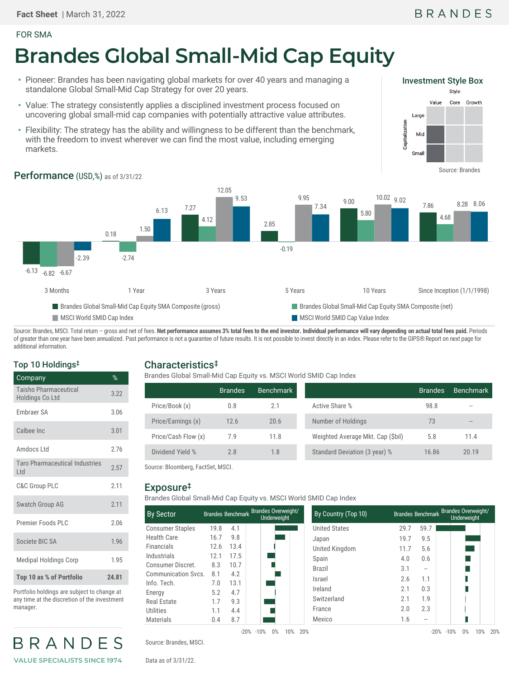#### FOR SMA

# **Brandes Global Small-Mid Cap Equity**

- Pioneer: Brandes has been navigating global markets for over 40 years and managing a standalone Global Small-Mid Cap Strategy for over 20 years.
- Value: The strategy consistently applies a disciplined investment process focused on uncovering global small-mid cap companies with potentially attractive value attributes.
- Flexibility: The strategy has the ability and willingness to be different than the benchmark, with the freedom to invest wherever we can find the most value, including emerging markets.



## Performance (USD,%) as of 3/31/22



Source: Brandes, MSCI. Total return - gross and net of fees. Net performance assumes 3% total fees to the end investor. Individual performance will vary depending on actual total fees paid. Periods of greater than one year have been annualized. Past performance is not a guarantee of future results. It is not possible to invest directly in an index. Please refer to the GIPS® Report on next page for additional information.

#### Top 10 Holdings‡

| Company                                         | %     |
|-------------------------------------------------|-------|
| <b>Taisho Pharmaceutical</b><br>Holdings Co Ltd | 3.22  |
| Embraer SA                                      | 3.06  |
| Calbee Inc                                      | 3.01  |
| Amdocs Ltd                                      | 2.76  |
| <b>Taro Pharmaceutical Industries</b><br>Ltd    | 2.57  |
| <b>C&amp;C Group PLC</b>                        | 2.11  |
| Swatch Group AG                                 | 2.11  |
| Premier Foods PLC                               | 2.06  |
| Societe BIC SA                                  | 1.96  |
| <b>Medipal Holdings Corp</b>                    | 1.95  |
| Top 10 as % of Portfolio                        | 24.81 |

Portfolio holdings are subject to change at any time at the discretion of the investment manager.



## Characteristics‡

Brandes Global Small-Mid Cap Equity vs. MSCI World SMID Cap Index

|                     | <b>Brandes</b> | <b>Benchmark</b> |                                   | <b>Brandes</b> | <b>Benchmark</b>  |
|---------------------|----------------|------------------|-----------------------------------|----------------|-------------------|
| Price/Book (x)      | 0.8            | 2.1              | Active Share %                    | 98.8           | $-1$              |
| Price/Earnings (x)  | 12.6           | 20.6             | Number of Holdings                | 73             | $\qquad \qquad -$ |
| Price/Cash Flow (x) | 7.9            | 11.8             | Weighted Average Mkt. Cap (\$bil) | 5.8            | 11.4              |
| Dividend Yield %    | 2.8            | 1.8              | Standard Deviation (3 year) %     | 16.86          | 20.19             |

Source: Bloomberg, FactSet, MSCI.

#### Exposure‡

Brandes Global Small-Mid Cap Equity vs. MSCI World SMID Cap Index

| <b>By Sector</b>        |      | Brandes Benchmark | <b>Brandes Overweight/</b><br>Underweight |
|-------------------------|------|-------------------|-------------------------------------------|
| <b>Consumer Staples</b> | 19.8 | 4.1               |                                           |
| Health Care             | 16.7 | 9.8               |                                           |
| <b>Financials</b>       | 12.6 | 13.4              |                                           |
| Industrials             | 12.1 | 17.5              |                                           |
| Consumer Discret.       | 8.3  | 10.7              |                                           |
| Communication Sycs.     | 81   | 4.2               |                                           |
| Info. Tech.             | 7.0  | 13.1              |                                           |
| Energy                  | 5.2  | 4.7               |                                           |
| Real Estate             | 1.7  | 9.3               |                                           |
| Utilities               | 1.1  | 4.4               |                                           |
| Materials               | 0.4  | 8.7               |                                           |

| nark Brandes Overweight/<br>Underweight | By Country (Top 10)  |      | Brandes Benchmark Brandes Overweight/<br>Underweight |  |  |  |
|-----------------------------------------|----------------------|------|------------------------------------------------------|--|--|--|
|                                         | <b>United States</b> | 29.7 | 59.7                                                 |  |  |  |
|                                         | Japan                | 19.7 | 9.5                                                  |  |  |  |
|                                         | United Kingdom       | 11.7 | 5.6                                                  |  |  |  |
|                                         | Spain                | 4.0  | 0.6                                                  |  |  |  |
|                                         | <b>Brazil</b>        | 3.1  | --                                                   |  |  |  |
|                                         | Israel               | 2.6  | 1.1                                                  |  |  |  |
|                                         | Ireland              | 2.1  | 0.3                                                  |  |  |  |
|                                         | Switzerland          | 2.1  | 1.9                                                  |  |  |  |
|                                         | France               | 2.0  | 2.3                                                  |  |  |  |
|                                         | Mexico               | 1.6  | --                                                   |  |  |  |

Source: Brandes, MSCI.

Data as of 3/31/22.